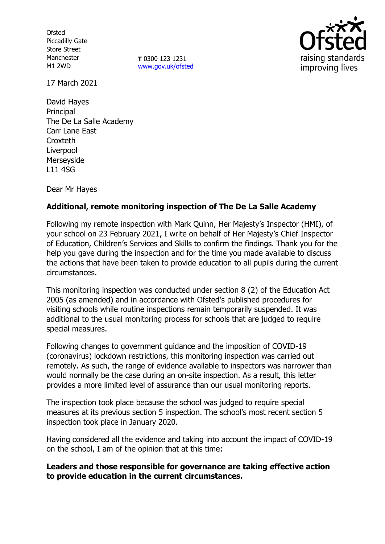**Ofsted** Piccadilly Gate Store Street Manchester M1 2WD

**T** 0300 123 1231 [www.gov.uk/ofsted](http://www.gov.uk/ofsted)



17 March 2021

David Hayes Principal The De La Salle Academy Carr Lane East **Croxteth** Liverpool Merseyside L11 4SG

Dear Mr Hayes

# **Additional, remote monitoring inspection of The De La Salle Academy**

Following my remote inspection with Mark Quinn, Her Majesty's Inspector (HMI), of your school on 23 February 2021, I write on behalf of Her Majesty's Chief Inspector of Education, Children's Services and Skills to confirm the findings. Thank you for the help you gave during the inspection and for the time you made available to discuss the actions that have been taken to provide education to all pupils during the current circumstances.

This monitoring inspection was conducted under section 8 (2) of the Education Act 2005 (as amended) and in accordance with Ofsted's published procedures for visiting schools while routine inspections remain temporarily suspended. It was additional to the usual monitoring process for schools that are judged to require special measures.

Following changes to government guidance and the imposition of COVID-19 (coronavirus) lockdown restrictions, this monitoring inspection was carried out remotely. As such, the range of evidence available to inspectors was narrower than would normally be the case during an on-site inspection. As a result, this letter provides a more limited level of assurance than our usual monitoring reports.

The inspection took place because the school was judged to require special measures at its previous section 5 inspection. The school's most recent section 5 inspection took place in January 2020.

Having considered all the evidence and taking into account the impact of COVID-19 on the school, I am of the opinion that at this time:

## **Leaders and those responsible for governance are taking effective action to provide education in the current circumstances.**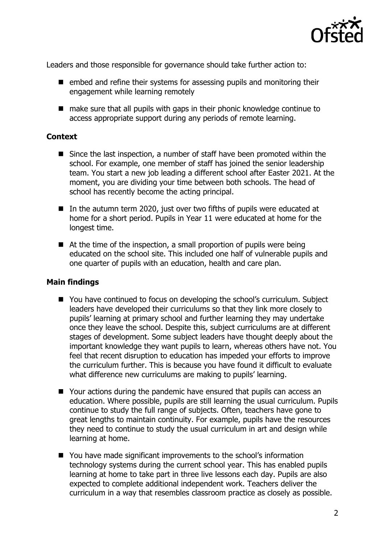

Leaders and those responsible for governance should take further action to:

- $\blacksquare$  embed and refine their systems for assessing pupils and monitoring their engagement while learning remotely
- make sure that all pupils with gaps in their phonic knowledge continue to access appropriate support during any periods of remote learning.

#### **Context**

- Since the last inspection, a number of staff have been promoted within the school. For example, one member of staff has joined the senior leadership team. You start a new job leading a different school after Easter 2021. At the moment, you are dividing your time between both schools. The head of school has recently become the acting principal.
- In the autumn term 2020, just over two fifths of pupils were educated at home for a short period. Pupils in Year 11 were educated at home for the longest time.
- $\blacksquare$  At the time of the inspection, a small proportion of pupils were being educated on the school site. This included one half of vulnerable pupils and one quarter of pupils with an education, health and care plan.

## **Main findings**

- You have continued to focus on developing the school's curriculum. Subject leaders have developed their curriculums so that they link more closely to pupils' learning at primary school and further learning they may undertake once they leave the school. Despite this, subject curriculums are at different stages of development. Some subject leaders have thought deeply about the important knowledge they want pupils to learn, whereas others have not. You feel that recent disruption to education has impeded your efforts to improve the curriculum further. This is because you have found it difficult to evaluate what difference new curriculums are making to pupils' learning.
- Your actions during the pandemic have ensured that pupils can access an education. Where possible, pupils are still learning the usual curriculum. Pupils continue to study the full range of subjects. Often, teachers have gone to great lengths to maintain continuity. For example, pupils have the resources they need to continue to study the usual curriculum in art and design while learning at home.
- You have made significant improvements to the school's information technology systems during the current school year. This has enabled pupils learning at home to take part in three live lessons each day. Pupils are also expected to complete additional independent work. Teachers deliver the curriculum in a way that resembles classroom practice as closely as possible.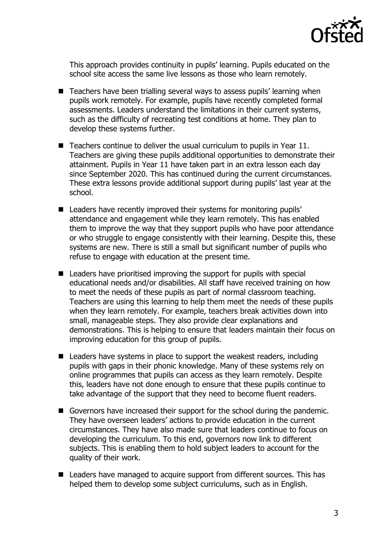

This approach provides continuity in pupils' learning. Pupils educated on the school site access the same live lessons as those who learn remotely.

- Teachers have been trialling several ways to assess pupils' learning when pupils work remotely. For example, pupils have recently completed formal assessments. Leaders understand the limitations in their current systems, such as the difficulty of recreating test conditions at home. They plan to develop these systems further.
- Teachers continue to deliver the usual curriculum to pupils in Year 11. Teachers are giving these pupils additional opportunities to demonstrate their attainment. Pupils in Year 11 have taken part in an extra lesson each day since September 2020. This has continued during the current circumstances. These extra lessons provide additional support during pupils' last year at the school.
- Leaders have recently improved their systems for monitoring pupils' attendance and engagement while they learn remotely. This has enabled them to improve the way that they support pupils who have poor attendance or who struggle to engage consistently with their learning. Despite this, these systems are new. There is still a small but significant number of pupils who refuse to engage with education at the present time.
- $\blacksquare$  Leaders have prioritised improving the support for pupils with special educational needs and/or disabilities. All staff have received training on how to meet the needs of these pupils as part of normal classroom teaching. Teachers are using this learning to help them meet the needs of these pupils when they learn remotely. For example, teachers break activities down into small, manageable steps. They also provide clear explanations and demonstrations. This is helping to ensure that leaders maintain their focus on improving education for this group of pupils.
- Leaders have systems in place to support the weakest readers, including pupils with gaps in their phonic knowledge. Many of these systems rely on online programmes that pupils can access as they learn remotely. Despite this, leaders have not done enough to ensure that these pupils continue to take advantage of the support that they need to become fluent readers.
- Governors have increased their support for the school during the pandemic. They have overseen leaders' actions to provide education in the current circumstances. They have also made sure that leaders continue to focus on developing the curriculum. To this end, governors now link to different subjects. This is enabling them to hold subject leaders to account for the quality of their work.
- Leaders have managed to acquire support from different sources. This has helped them to develop some subject curriculums, such as in English.